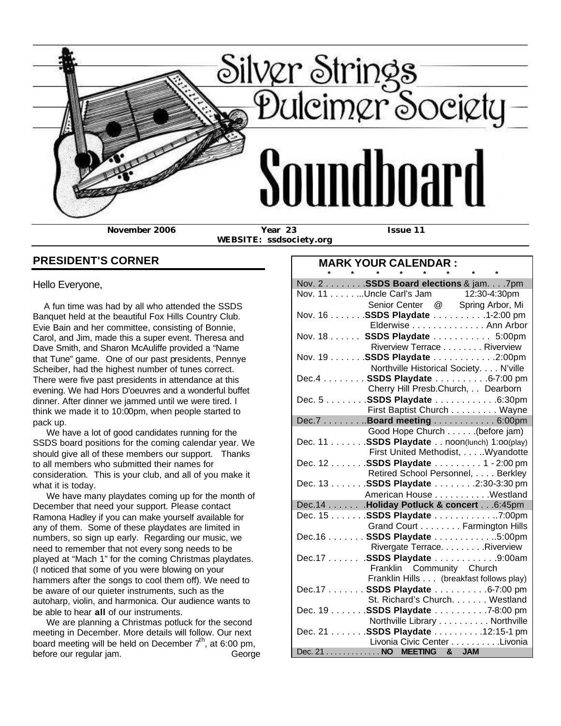

 **WEBSITE: ssdsociety.org**

## **PRESIDENT'S CORNER**

Hello Everyone,

 A fun time was had by all who attended the SSDS Banquet held at the beautiful Fox Hills Country Club. Evie Bain and her committee, consisting of Bonnie, Carol, and Jim, made this a super event. Theresa and Dave Smith, and Sharon McAuliffe provided a "Name that Tune" game. One of our past presidents, Pennye Scheiber, had the highest number of tunes correct. There were five past presidents in attendance at this evening. We had Hors D'oeuvres and a wonderful buffet dinner. After dinner we jammed until we were tired. I think we made it to 10:00pm, when people started to pack up.

 We have a lot of good candidates running for the SSDS board positions for the coming calendar year. We should give all of these members our support. Thanks to all members who submitted their names for consideration. This is your club, and all of you make it what it is today.

 We have many playdates coming up for the month of December that need your support. Please contact Ramona Hadley if you can make yourself available for any of them. Some of these playdates are limited in numbers, so sign up early. Regarding our music, we need to remember that not every song needs to be played at "Mach 1" for the coming Christmas playdates. (I noticed that some of you were blowing on your hammers after the songs to cool them off). We need to be aware of our quieter instruments, such as the autoharp, violin, and harmonica. Our audience wants to be able to hear **all** of our instruments.

 We are planning a Christmas potluck for the second meeting in December. More details will follow. Our next board meeting will be held on December  $7<sup>th</sup>$ , at 6:00 pm, before our regular jam. George

## **MARK YOUR CALENDAR :**

|  |                          |  | * * * * * * * *           |                                                                                             |
|--|--------------------------|--|---------------------------|---------------------------------------------------------------------------------------------|
|  |                          |  |                           | Nov. 2 SSDS Board elections & jam7pm                                                        |
|  |                          |  |                           | Nov. 11 Uncle Carl's Jam 12:30-4:30pm                                                       |
|  |                          |  |                           | Senior Center @ Spring Arbor, Mi                                                            |
|  |                          |  |                           | Nov. 16 SSDS Playdate 1-2:00 pm                                                             |
|  |                          |  |                           | Elderwise Ann Arbor                                                                         |
|  |                          |  |                           | Nov. 18 SSDS Playdate 5:00pm                                                                |
|  |                          |  |                           | Riverview Terrace Riverview                                                                 |
|  |                          |  |                           | Nov. 19 SSDS Playdate 2:00pm                                                                |
|  |                          |  |                           | Northville Historical Society. N'ville                                                      |
|  |                          |  |                           | Dec.4 SSDS Playdate 6-7:00 pm                                                               |
|  |                          |  |                           | Cherry Hill Presb.Church, Dearborn                                                          |
|  |                          |  |                           | Dec. 5 SSDS Playdate 6:30pm                                                                 |
|  |                          |  |                           | First Baptist Church Wayne                                                                  |
|  |                          |  |                           | Dec.7 Board meeting 6:00pm                                                                  |
|  |                          |  |                           | Good Hope Church (before jam)                                                               |
|  |                          |  |                           | (before jam). Good Hope Church (before jam)<br>Dec. 11 SSDS Playdate noon(lunch) 1:00(play) |
|  |                          |  |                           | First United Methodist, Wyandotte                                                           |
|  |                          |  |                           | Dec. 12 SSDS Playdate 1 - 2:00 pm                                                           |
|  |                          |  |                           | Retired School Personnel, Berkley                                                           |
|  |                          |  |                           | Dec. 13 SSDS Playdate 2:30-3:30 pm                                                          |
|  |                          |  |                           | American House Westland                                                                     |
|  |                          |  |                           | Dec.14 Holiday Potluck & concert 6:45pm                                                     |
|  |                          |  |                           | Dec. 15 SSDS Playdate 7:00pm                                                                |
|  |                          |  |                           | Grand Court Farmington Hills                                                                |
|  |                          |  |                           | Dec.16 SSDS Playdate 5:00pm                                                                 |
|  |                          |  |                           | Rivergate Terrace. Riverview                                                                |
|  |                          |  |                           | Dec.17 SSDS Playdate 9:00am                                                                 |
|  |                          |  | Franklin Community Church |                                                                                             |
|  |                          |  |                           | Franklin Hills (breakfast follows play)                                                     |
|  |                          |  |                           | Dec.17 SSDS Playdate 6-7:00 pm                                                              |
|  |                          |  |                           | St. Richard's Church. Westland                                                              |
|  |                          |  |                           | Dec. 19 SSDS Playdate 7-8:00 pm                                                             |
|  |                          |  |                           | Northville Library Northville                                                               |
|  |                          |  |                           | Dec. 21 SSDS Playdate 12:15-1 pm                                                            |
|  |                          |  |                           | Livonia Civic Center Livonia                                                                |
|  | Dec. 21 NO MEETING & JAM |  |                           |                                                                                             |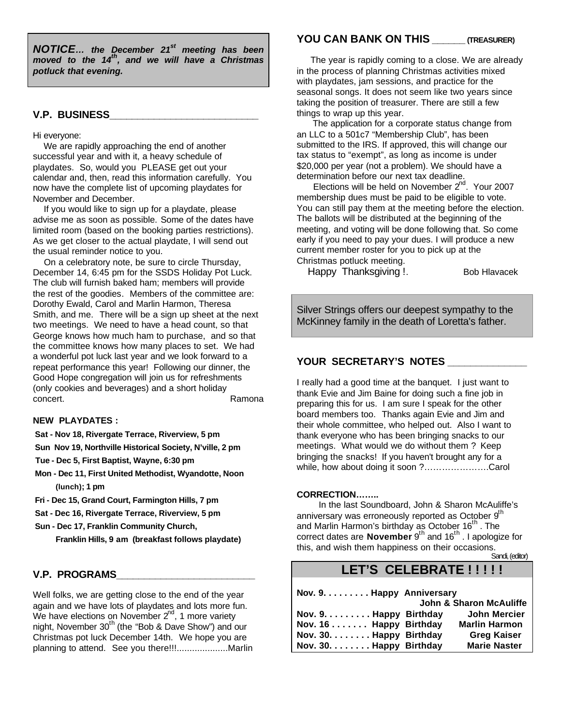*NOTICE… the December 21st meeting has been moved to the 14th, and we will have a Christmas potluck that evening.* 

#### **V.P. BUSINESS\_\_\_\_\_\_\_\_\_\_\_\_\_\_\_\_\_\_\_\_\_\_\_\_\_\_\_**

#### Hi everyone:

 We are rapidly approaching the end of another successful year and with it, a heavy schedule of playdates. So, would you PLEASE get out your calendar and, then, read this information carefully. You now have the complete list of upcoming playdates for November and December.

 If you would like to sign up for a playdate, please advise me as soon as possible. Some of the dates have limited room (based on the booking parties restrictions). As we get closer to the actual playdate, I will send out the usual reminder notice to you.

 On a celebratory note, be sure to circle Thursday, December 14, 6:45 pm for the SSDS Holiday Pot Luck. The club will furnish baked ham; members will provide the rest of the goodies. Members of the committee are: Dorothy Ewald, Carol and Marlin Harmon, Theresa Smith, and me. There will be a sign up sheet at the next two meetings. We need to have a head count, so that George knows how much ham to purchase, and so that the committee knows how many places to set. We had a wonderful pot luck last year and we look forward to a repeat performance this year! Following our dinner, the Good Hope congregation will join us for refreshments (only cookies and beverages) and a short holiday concert. **Ramona** 

#### **NEW PLAYDATES :**

 **Sat - Nov 18, Rivergate Terrace, Riverview, 5 pm**

**Sun Nov 19, Northville Historical Society, N'ville, 2 pm**

 **Tue - Dec 5, First Baptist, Wayne, 6:30 pm**

- **Mon Dec 11, First United Methodist, Wyandotte, Noon (lunch); 1 pm**
- **Fri Dec 15, Grand Court, Farmington Hills, 7 pm**

 **Sat - Dec 16, Rivergate Terrace, Riverview, 5 pm**

 **Sun - Dec 17, Franklin Community Church, Franklin Hills, 9 am (breakfast follows playdate)**

#### **V.P. PROGRAMS\_\_\_\_\_\_\_\_\_\_\_\_\_\_\_\_\_\_\_\_\_\_\_\_\_**

Well folks, we are getting close to the end of the year again and we have lots of playdates and lots more fun. We have elections on November  $2^{nd}$ , 1 more variety night, November  $30<sup>th</sup>$  (the "Bob & Dave Show") and our Christmas pot luck December 14th. We hope you are planning to attend. See you there!!!....................Marlin

#### **YOU CAN BANK ON THIS \_\_\_\_\_\_ (TREASURER)**

 The year is rapidly coming to a close. We are already in the process of planning Christmas activities mixed with playdates, jam sessions, and practice for the seasonal songs. It does not seem like two years since taking the position of treasurer. There are still a few things to wrap up this year.

 The application for a corporate status change from an LLC to a 501c7 "Membership Club", has been submitted to the IRS. If approved, this will change our tax status to "exempt", as long as income is under \$20,000 per year (not a problem). We should have a determination before our next tax deadline.

Elections will be held on November  $2^{nd}$ . Your 2007 membership dues must be paid to be eligible to vote. You can still pay them at the meeting before the election. The ballots will be distributed at the beginning of the meeting, and voting will be done following that. So come early if you need to pay your dues. I will produce a new current member roster for you to pick up at the Christmas potluck meeting.

Happy Thanksgiving !. Bob Hlavacek

Silver Strings offers our deepest sympathy to the McKinney family in the death of Loretta's father.

#### **YOUR SECRETARY'S NOTES \_\_\_\_\_\_\_\_\_\_\_\_\_\_**

I really had a good time at the banquet. I just want to thank Evie and Jim Baine for doing such a fine job in preparing this for us. I am sure I speak for the other board members too. Thanks again Evie and Jim and their whole committee, who helped out. Also I want to thank everyone who has been bringing snacks to our meetings. What would we do without them ? Keep bringing the snacks! If you haven't brought any for a while, how about doing it soon ?………………….Carol

#### **CORRECTION……..**

 In the last Soundboard, John & Sharon McAuliffe's anniversary was erroneously reported as October 9<sup>th</sup> and Marlin Harmon's birthday as October 16<sup>th</sup>. The correct dates are **November** 9<sup>th</sup> and 16<sup>th</sup>. I apologize for this, and wish them happiness on their occasions. Sandi, (editor)

## LET'S CELEBRATE !!!!!

| Nov. 9. Happy Anniversary       |                         |                      |  |
|---------------------------------|-------------------------|----------------------|--|
|                                 | John & Sharon McAuliffe |                      |  |
| Nov. $9. \ldots$ Happy Birthday |                         | <b>John Mercier</b>  |  |
| Nov. 16 Happy Birthday          |                         | <b>Marlin Harmon</b> |  |
| Nov. 30. Happy Birthday         |                         | <b>Greg Kaiser</b>   |  |
| Nov. 30. Happy Birthday         |                         | <b>Marie Naster</b>  |  |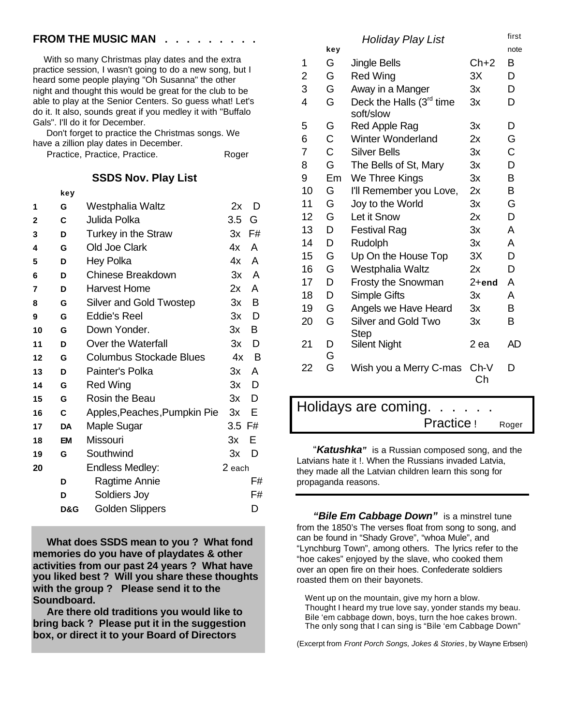### **FROM THE MUSIC MAN**

 With so many Christmas play dates and the extra practice session, I wasn't going to do a new song, but I heard some people playing "Oh Susanna" the other night and thought this would be great for the club to be able to play at the Senior Centers. So guess what! Let's do it. It also, sounds great if you medley it with "Buffalo Gals". I'll do it for December.

 Don't forget to practice the Christmas songs. We have a zillion play dates in December.

Practice, Practice, Practice. Roger

**SSDS Nov. Play List**

| ۰.<br>×<br>v | ۰. |
|--------------|----|
|--------------|----|

| 1  | G         | Westphalia Waltz               | 2x     | D  |
|----|-----------|--------------------------------|--------|----|
| 2  | C         | Julida Polka                   | 3.5    | G. |
| 3  | D         | Turkey in the Straw            | Зx     | F# |
| 4  | G         | Old Joe Clark                  | 4x     | A  |
| 5  | D         | <b>Hey Polka</b>               | 4x     | A  |
| 6  | D         | <b>Chinese Breakdown</b>       | Зx     | A  |
| 7  | D         | Harvest Home                   | 2x     | A  |
| 8  | G         | <b>Silver and Gold Twostep</b> | 3x     | B  |
| 9  | G         | <b>Eddie's Reel</b>            | 3x     | D  |
| 10 | G         | Down Yonder.                   | 3x     | B  |
| 11 | D         | Over the Waterfall             | 3x     | D  |
| 12 | G         | <b>Columbus Stockade Blues</b> | 4x     | B  |
| 13 | D         | Painter's Polka                | 3x     | A  |
| 14 | G         | <b>Red Wing</b>                | 3x     | D  |
| 15 | G         | <b>Rosin the Beau</b>          | 3x     | D  |
| 16 | C         | Apples, Peaches, Pumpkin Pie   | 3x     | Е  |
| 17 | DA        | Maple Sugar                    | 3.5 F# |    |
| 18 | <b>EM</b> | Missouri                       | Зx     | Е  |
| 19 | G         | Southwind                      | 3x     | D  |
| 20 |           | <b>Endless Medley:</b>         | 2 each |    |
|    | D         | Ragtime Annie                  |        | F# |
|    | D         | Soldiers Joy                   |        | F# |
|    | D&G       | <b>Golden Slippers</b>         |        | D  |
|    |           |                                |        |    |

 **What does SSDS mean to you ? What fond memories do you have of playdates & other activities from our past 24 years ? What have you liked best ? Will you share these thoughts with the group ? Please send it to the Soundboard.**

 **Are there old traditions you would like to bring back ? Please put it in the suggestion box, or direct it to your Board of Directors**

*Holiday Play List* first first

|                | key    |                                         |            | note |
|----------------|--------|-----------------------------------------|------------|------|
| 1              | G      | <b>Jingle Bells</b>                     | $Ch+2$     | B    |
| $\overline{2}$ | G      | <b>Red Wing</b>                         | 3X         | D    |
| 3              | G      | Away in a Manger                        | Зx         | D    |
| 4              | G      | Deck the Halls $(3rd$ time<br>soft/slow | Зx         | D    |
| 5              | G      | Red Apple Rag                           | Зx         | D    |
| 6              | C      | <b>Winter Wonderland</b>                | 2x         | G    |
| 7              | C      | <b>Silver Bells</b>                     | 3x         | C    |
| 8              | G      | The Bells of St, Mary                   | 3x         | D    |
| 9              | Em     | We Three Kings                          | 3x         | B    |
| 10             | G      | I'll Remember you Love,                 | 2x         | B    |
| 11             | G      | Joy to the World                        | 3x         | G    |
| 12             | G      | Let it Snow                             | 2x         | D    |
| 13             | D      | <b>Festival Rag</b>                     | 3x         | A    |
| 14             | D      | Rudolph                                 | 3x         | A    |
| 15             | G      | Up On the House Top                     | 3X         | D    |
| 16             | G      | Westphalia Waltz                        | 2x         | D    |
| 17             | D      | Frosty the Snowman                      | $2+$ end   | A    |
| 18             | D      | <b>Simple Gifts</b>                     | Зx         | А    |
| 19             | G      | Angels we Have Heard                    | 3x         | В    |
| 20             | G      | Silver and Gold Two<br>Step             | Зx         | в    |
| 21             | D<br>G | <b>Silent Night</b>                     | 2 ea       | AD   |
| 22             | Ġ      | Wish you a Merry C-mas                  | Ch-V<br>Ch | D    |
|                |        |                                         |            |      |

Holidays are coming. . . . . . Practice ! Roger

 "*Katushka"* is a Russian composed song, and the Latvians hate it !. When the Russians invaded Latvia, they made all the Latvian children learn this song for propaganda reasons.

 *"Bile Em Cabbage Down"* is a minstrel tune from the 1850's The verses float from song to song, and can be found in "Shady Grove", "whoa Mule", and "Lynchburg Town", among others. The lyrics refer to the "hoe cakes" enjoyed by the slave, who cooked them over an open fire on their hoes. Confederate soldiers roasted them on their bayonets.

 Went up on the mountain, give my horn a blow. Thought I heard my true love say, yonder stands my beau. Bile 'em cabbage down, boys, turn the hoe cakes brown. The only song that I can sing is "Bile 'em Cabbage Down"

(Excerpt from *Front Porch Songs, Jokes & Stories*, by Wayne Erbsen)